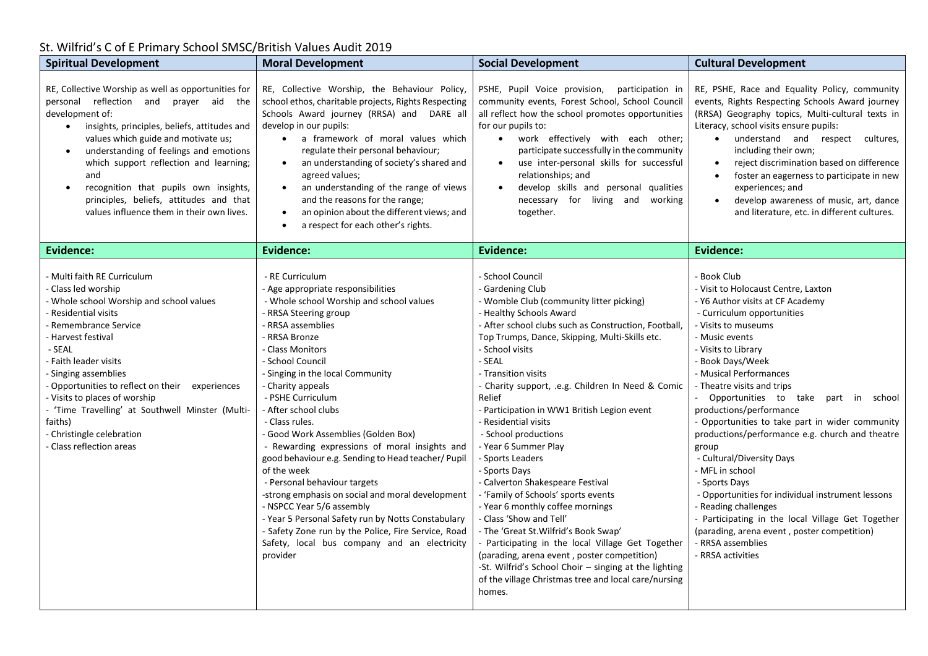## St. Wilfrid's C of E Primary School SMSC/British Values Audit 2019

| <b>Spiritual Development</b>                                                                                                                                                                                                                                                                                                                                                                                                                                               | <b>Moral Development</b>                                                                                                                                                                                                                                                                                                                                                                                                                                                                                                                                                                                                                                                                                                                                                                | <b>Social Development</b>                                                                                                                                                                                                                                                                                                                                                                                                                                                                                                                                                                                                                                                                                                                                                                                                                                                                                              | <b>Cultural Development</b>                                                                                                                                                                                                                                                                                                                                                                                                                                                                                                                                                                                                                                                                                                                      |
|----------------------------------------------------------------------------------------------------------------------------------------------------------------------------------------------------------------------------------------------------------------------------------------------------------------------------------------------------------------------------------------------------------------------------------------------------------------------------|-----------------------------------------------------------------------------------------------------------------------------------------------------------------------------------------------------------------------------------------------------------------------------------------------------------------------------------------------------------------------------------------------------------------------------------------------------------------------------------------------------------------------------------------------------------------------------------------------------------------------------------------------------------------------------------------------------------------------------------------------------------------------------------------|------------------------------------------------------------------------------------------------------------------------------------------------------------------------------------------------------------------------------------------------------------------------------------------------------------------------------------------------------------------------------------------------------------------------------------------------------------------------------------------------------------------------------------------------------------------------------------------------------------------------------------------------------------------------------------------------------------------------------------------------------------------------------------------------------------------------------------------------------------------------------------------------------------------------|--------------------------------------------------------------------------------------------------------------------------------------------------------------------------------------------------------------------------------------------------------------------------------------------------------------------------------------------------------------------------------------------------------------------------------------------------------------------------------------------------------------------------------------------------------------------------------------------------------------------------------------------------------------------------------------------------------------------------------------------------|
| RE, Collective Worship as well as opportunities for<br>personal reflection and prayer aid the<br>development of:<br>insights, principles, beliefs, attitudes and<br>$\bullet$<br>values which guide and motivate us;<br>understanding of feelings and emotions<br>$\bullet$<br>which support reflection and learning;<br>and<br>recognition that pupils own insights,<br>$\bullet$<br>principles, beliefs, attitudes and that<br>values influence them in their own lives. | RE, Collective Worship, the Behaviour Policy,<br>school ethos, charitable projects, Rights Respecting<br>Schools Award journey (RRSA) and DARE all<br>develop in our pupils:<br>a framework of moral values which<br>$\bullet$<br>regulate their personal behaviour;<br>an understanding of society's shared and<br>$\bullet$<br>agreed values;<br>an understanding of the range of views<br>and the reasons for the range;<br>an opinion about the different views; and<br>$\bullet$<br>a respect for each other's rights.<br>$\bullet$                                                                                                                                                                                                                                                | PSHE, Pupil Voice provision, participation in<br>community events, Forest School, School Council<br>all reflect how the school promotes opportunities<br>for our pupils to:<br>• work effectively with each other;<br>participate successfully in the community<br>use inter-personal skills for successful<br>relationships; and<br>develop skills and personal qualities<br>necessary for living and working<br>together.                                                                                                                                                                                                                                                                                                                                                                                                                                                                                            | RE, PSHE, Race and Equality Policy, community<br>events, Rights Respecting Schools Award journey<br>(RRSA) Geography topics, Multi-cultural texts in<br>Literacy, school visits ensure pupils:<br>• understand and respect cultures,<br>including their own;<br>reject discrimination based on difference<br>$\bullet$<br>foster an eagerness to participate in new<br>$\bullet$<br>experiences; and<br>develop awareness of music, art, dance<br>$\bullet$<br>and literature, etc. in different cultures.                                                                                                                                                                                                                                       |
| Evidence:                                                                                                                                                                                                                                                                                                                                                                                                                                                                  | <b>Evidence:</b>                                                                                                                                                                                                                                                                                                                                                                                                                                                                                                                                                                                                                                                                                                                                                                        | <b>Evidence:</b>                                                                                                                                                                                                                                                                                                                                                                                                                                                                                                                                                                                                                                                                                                                                                                                                                                                                                                       | <b>Evidence:</b>                                                                                                                                                                                                                                                                                                                                                                                                                                                                                                                                                                                                                                                                                                                                 |
| - Multi faith RE Curriculum<br>- Class led worship<br>- Whole school Worship and school values<br>- Residential visits<br>- Remembrance Service<br>- Harvest festival<br>- SEAL<br>- Faith leader visits<br>- Singing assemblies<br>- Opportunities to reflect on their experiences<br>- Visits to places of worship<br>- 'Time Travelling' at Southwell Minster (Multi-<br>faiths)<br>- Christingle celebration<br>- Class reflection areas                               | - RE Curriculum<br>- Age appropriate responsibilities<br>- Whole school Worship and school values<br>- RRSA Steering group<br>- RRSA assemblies<br>- RRSA Bronze<br>- Class Monitors<br>- School Council<br>- Singing in the local Community<br>- Charity appeals<br>- PSHE Curriculum<br>- After school clubs<br>- Class rules.<br>- Good Work Assemblies (Golden Box)<br>- Rewarding expressions of moral insights and<br>good behaviour e.g. Sending to Head teacher/ Pupil<br>of the week<br>- Personal behaviour targets<br>-strong emphasis on social and moral development<br>- NSPCC Year 5/6 assembly<br>- Year 5 Personal Safety run by Notts Constabulary<br>- Safety Zone run by the Police, Fire Service, Road<br>Safety, local bus company and an electricity<br>provider | - School Council<br>- Gardening Club<br>- Womble Club (community litter picking)<br>- Healthy Schools Award<br>- After school clubs such as Construction, Football,<br>Top Trumps, Dance, Skipping, Multi-Skills etc.<br>- School visits<br>- SEAL<br>- Transition visits<br>- Charity support, .e.g. Children In Need & Comic<br>Relief<br>- Participation in WW1 British Legion event<br>- Residential visits<br>- School productions<br>- Year 6 Summer Play<br>- Sports Leaders<br>- Sports Days<br>- Calverton Shakespeare Festival<br>- 'Family of Schools' sports events<br>- Year 6 monthly coffee mornings<br>- Class 'Show and Tell'<br>- The 'Great St. Wilfrid's Book Swap'<br>- Participating in the local Village Get Together<br>(parading, arena event, poster competition)<br>-St. Wilfrid's School Choir - singing at the lighting<br>of the village Christmas tree and local care/nursing<br>homes. | - Book Club<br>- Visit to Holocaust Centre, Laxton<br>- Y6 Author visits at CF Academy<br>- Curriculum opportunities<br>- Visits to museums<br>- Music events<br>- Visits to Library<br>- Book Days/Week<br>- Musical Performances<br>- Theatre visits and trips<br>- Opportunities to take part in school<br>productions/performance<br>- Opportunities to take part in wider community<br>productions/performance e.g. church and theatre<br>group<br>- Cultural/Diversity Days<br>- MFL in school<br>- Sports Days<br>- Opportunities for individual instrument lessons<br>- Reading challenges<br>- Participating in the local Village Get Together<br>(parading, arena event, poster competition)<br>- RRSA assemblies<br>- RRSA activities |